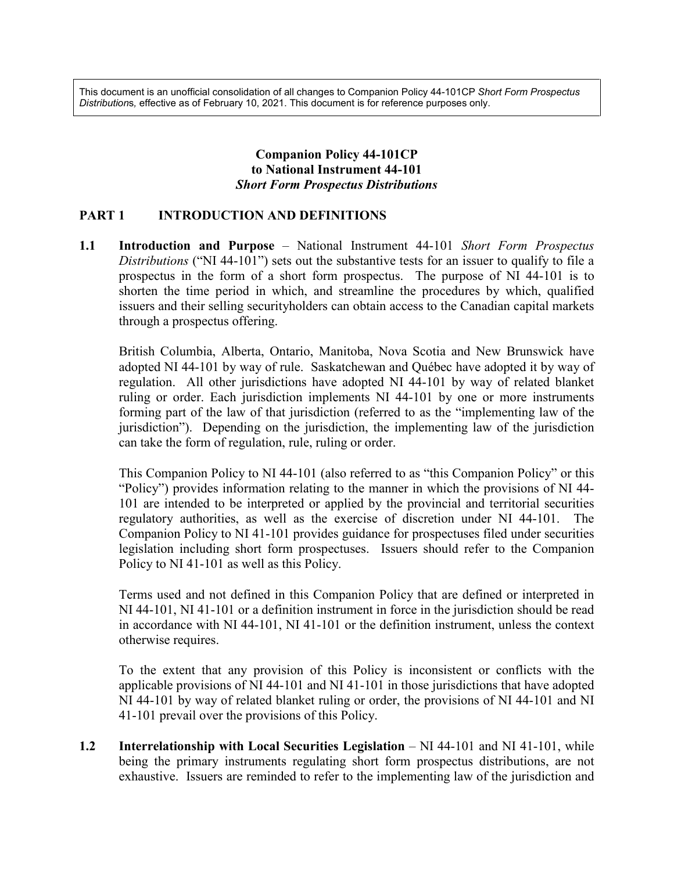This document is an unofficial consolidation of all changes to Companion Policy 44-101CP *Short Form Prospectus Distribution*s*,* effective as of February 10, 2021. This document is for reference purposes only.

### **Companion Policy 44-101CP to National Instrument 44-101** *Short Form Prospectus Distributions*

### **PART 1 INTRODUCTION AND DEFINITIONS**

**1.1 Introduction and Purpose** – National Instrument 44-101 *Short Form Prospectus Distributions* ("NI 44-101") sets out the substantive tests for an issuer to qualify to file a prospectus in the form of a short form prospectus. The purpose of NI 44-101 is to shorten the time period in which, and streamline the procedures by which, qualified issuers and their selling securityholders can obtain access to the Canadian capital markets through a prospectus offering.

British Columbia, Alberta, Ontario, Manitoba, Nova Scotia and New Brunswick have adopted NI 44-101 by way of rule. Saskatchewan and Québec have adopted it by way of regulation. All other jurisdictions have adopted NI 44-101 by way of related blanket ruling or order. Each jurisdiction implements NI 44-101 by one or more instruments forming part of the law of that jurisdiction (referred to as the "implementing law of the jurisdiction"). Depending on the jurisdiction, the implementing law of the jurisdiction can take the form of regulation, rule, ruling or order.

This Companion Policy to NI 44-101 (also referred to as "this Companion Policy" or this "Policy") provides information relating to the manner in which the provisions of NI 44- 101 are intended to be interpreted or applied by the provincial and territorial securities regulatory authorities, as well as the exercise of discretion under NI 44-101. The Companion Policy to NI 41-101 provides guidance for prospectuses filed under securities legislation including short form prospectuses. Issuers should refer to the Companion Policy to NI 41-101 as well as this Policy.

Terms used and not defined in this Companion Policy that are defined or interpreted in NI 44-101, NI 41-101 or a definition instrument in force in the jurisdiction should be read in accordance with NI 44-101, NI 41-101 or the definition instrument, unless the context otherwise requires.

To the extent that any provision of this Policy is inconsistent or conflicts with the applicable provisions of NI 44-101 and NI 41-101 in those jurisdictions that have adopted NI 44-101 by way of related blanket ruling or order, the provisions of NI 44-101 and NI 41-101 prevail over the provisions of this Policy.

**1.2 Interrelationship with Local Securities Legislation** – NI 44-101 and NI 41-101, while being the primary instruments regulating short form prospectus distributions, are not exhaustive. Issuers are reminded to refer to the implementing law of the jurisdiction and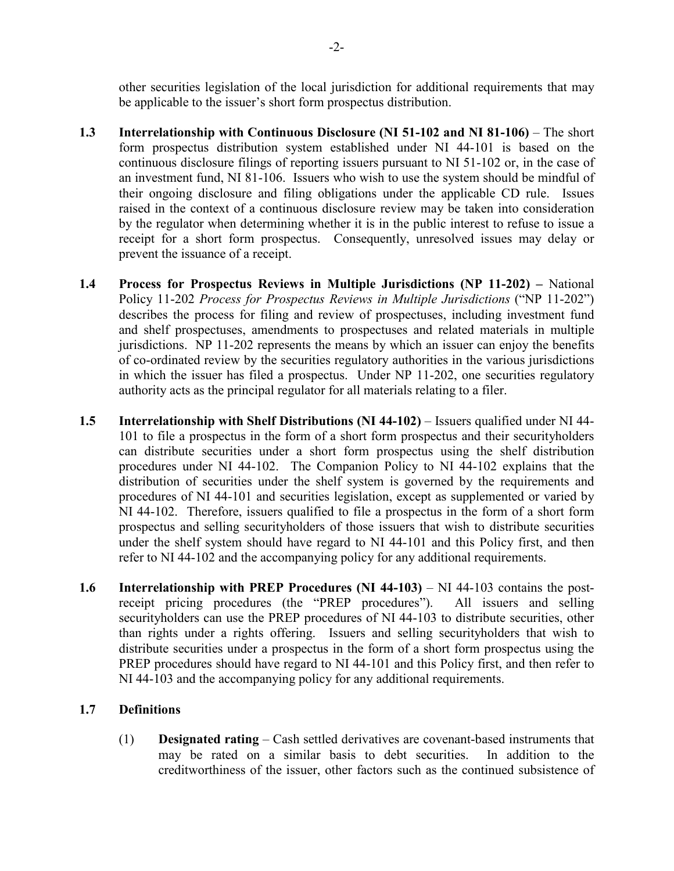other securities legislation of the local jurisdiction for additional requirements that may be applicable to the issuer's short form prospectus distribution.

- **1.3 Interrelationship with Continuous Disclosure (NI 51-102 and NI 81-106)** The short form prospectus distribution system established under NI 44-101 is based on the continuous disclosure filings of reporting issuers pursuant to NI 51-102 or, in the case of an investment fund, NI 81-106. Issuers who wish to use the system should be mindful of their ongoing disclosure and filing obligations under the applicable CD rule. Issues raised in the context of a continuous disclosure review may be taken into consideration by the regulator when determining whether it is in the public interest to refuse to issue a receipt for a short form prospectus. Consequently, unresolved issues may delay or prevent the issuance of a receipt.
- **1.4 Process for Prospectus Reviews in Multiple Jurisdictions (NP 11-202) –** National Policy 11-202 *Process for Prospectus Reviews in Multiple Jurisdictions* ("NP 11-202") describes the process for filing and review of prospectuses, including investment fund and shelf prospectuses, amendments to prospectuses and related materials in multiple jurisdictions. NP 11-202 represents the means by which an issuer can enjoy the benefits of co-ordinated review by the securities regulatory authorities in the various jurisdictions in which the issuer has filed a prospectus. Under NP 11-202, one securities regulatory authority acts as the principal regulator for all materials relating to a filer.
- **1.5 Interrelationship with Shelf Distributions (NI 44-102)** Issuers qualified under NI 44- 101 to file a prospectus in the form of a short form prospectus and their securityholders can distribute securities under a short form prospectus using the shelf distribution procedures under NI 44-102. The Companion Policy to NI 44-102 explains that the distribution of securities under the shelf system is governed by the requirements and procedures of NI 44-101 and securities legislation, except as supplemented or varied by NI 44-102. Therefore, issuers qualified to file a prospectus in the form of a short form prospectus and selling securityholders of those issuers that wish to distribute securities under the shelf system should have regard to NI 44-101 and this Policy first, and then refer to NI 44-102 and the accompanying policy for any additional requirements.
- **1.6 Interrelationship with PREP Procedures (NI 44-103)** NI 44-103 contains the postreceipt pricing procedures (the "PREP procedures"). All issuers and selling securityholders can use the PREP procedures of NI 44-103 to distribute securities, other than rights under a rights offering. Issuers and selling securityholders that wish to distribute securities under a prospectus in the form of a short form prospectus using the PREP procedures should have regard to NI 44-101 and this Policy first, and then refer to NI 44-103 and the accompanying policy for any additional requirements.

# **1.7 Definitions**

(1) **Designated rating** – Cash settled derivatives are covenant-based instruments that may be rated on a similar basis to debt securities. In addition to the creditworthiness of the issuer, other factors such as the continued subsistence of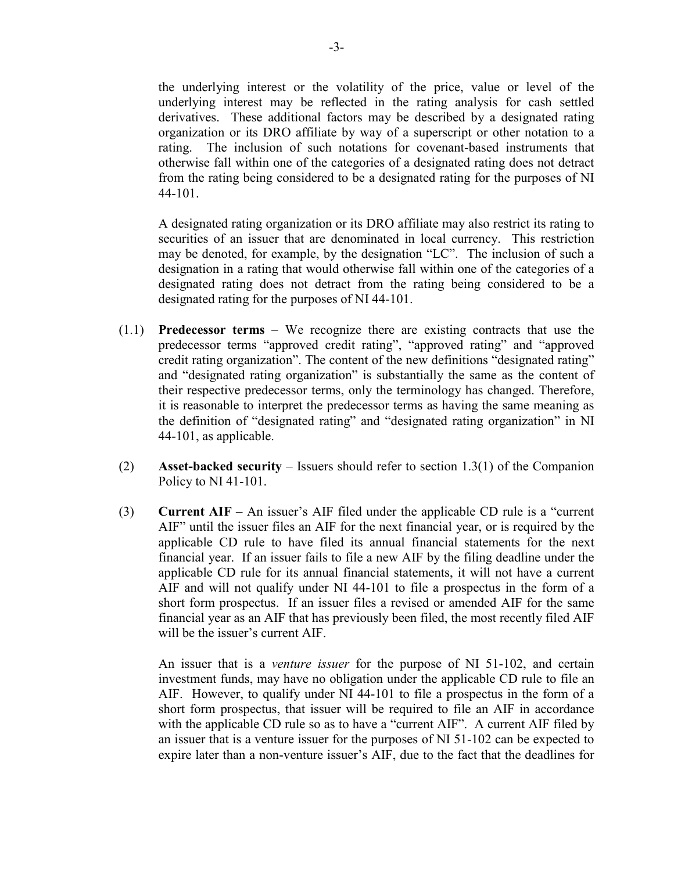the underlying interest or the volatility of the price, value or level of the underlying interest may be reflected in the rating analysis for cash settled derivatives. These additional factors may be described by a designated rating organization or its DRO affiliate by way of a superscript or other notation to a rating. The inclusion of such notations for covenant-based instruments that otherwise fall within one of the categories of a designated rating does not detract from the rating being considered to be a designated rating for the purposes of NI 44-101.

A designated rating organization or its DRO affiliate may also restrict its rating to securities of an issuer that are denominated in local currency. This restriction may be denoted, for example, by the designation "LC". The inclusion of such a designation in a rating that would otherwise fall within one of the categories of a designated rating does not detract from the rating being considered to be a designated rating for the purposes of NI 44-101.

- (1.1) **Predecessor terms** We recognize there are existing contracts that use the predecessor terms "approved credit rating", "approved rating" and "approved credit rating organization". The content of the new definitions "designated rating" and "designated rating organization" is substantially the same as the content of their respective predecessor terms, only the terminology has changed. Therefore, it is reasonable to interpret the predecessor terms as having the same meaning as the definition of "designated rating" and "designated rating organization" in NI 44-101, as applicable.
- (2) **Asset-backed security** Issuers should refer to section 1.3(1) of the Companion Policy to NI 41-101.
- (3) **Current AIF** An issuer's AIF filed under the applicable CD rule is a "current AIF" until the issuer files an AIF for the next financial year, or is required by the applicable CD rule to have filed its annual financial statements for the next financial year. If an issuer fails to file a new AIF by the filing deadline under the applicable CD rule for its annual financial statements, it will not have a current AIF and will not qualify under NI 44-101 to file a prospectus in the form of a short form prospectus. If an issuer files a revised or amended AIF for the same financial year as an AIF that has previously been filed, the most recently filed AIF will be the issuer's current AIF.

An issuer that is a *venture issuer* for the purpose of NI 51-102, and certain investment funds, may have no obligation under the applicable CD rule to file an AIF. However, to qualify under NI 44-101 to file a prospectus in the form of a short form prospectus, that issuer will be required to file an AIF in accordance with the applicable CD rule so as to have a "current AIF". A current AIF filed by an issuer that is a venture issuer for the purposes of NI 51-102 can be expected to expire later than a non-venture issuer's AIF, due to the fact that the deadlines for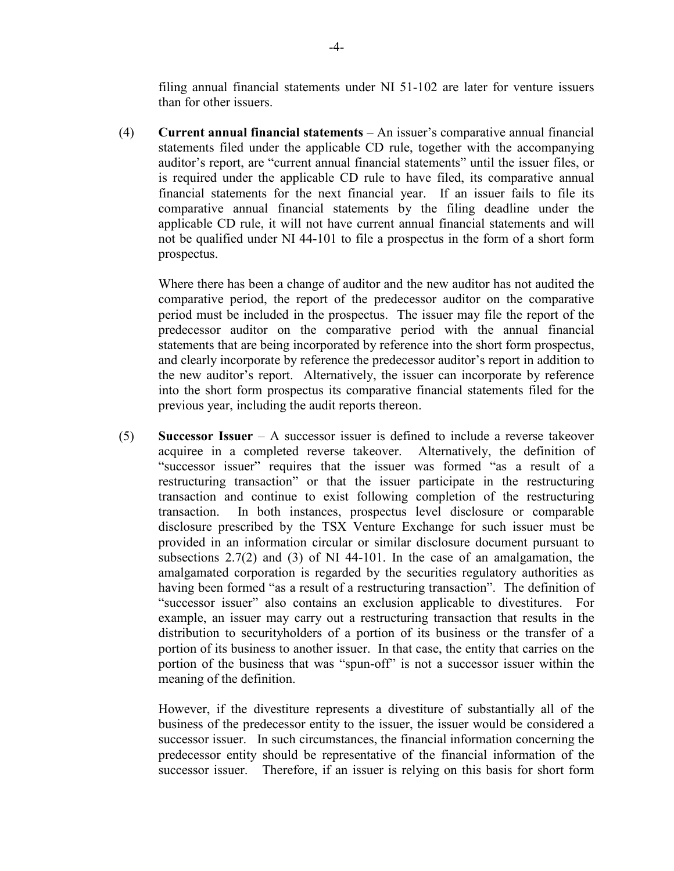filing annual financial statements under NI 51-102 are later for venture issuers than for other issuers.

(4) **Current annual financial statements** – An issuer's comparative annual financial statements filed under the applicable CD rule, together with the accompanying auditor's report, are "current annual financial statements" until the issuer files, or is required under the applicable CD rule to have filed, its comparative annual financial statements for the next financial year. If an issuer fails to file its comparative annual financial statements by the filing deadline under the applicable CD rule, it will not have current annual financial statements and will not be qualified under NI 44-101 to file a prospectus in the form of a short form prospectus.

Where there has been a change of auditor and the new auditor has not audited the comparative period, the report of the predecessor auditor on the comparative period must be included in the prospectus. The issuer may file the report of the predecessor auditor on the comparative period with the annual financial statements that are being incorporated by reference into the short form prospectus, and clearly incorporate by reference the predecessor auditor's report in addition to the new auditor's report. Alternatively, the issuer can incorporate by reference into the short form prospectus its comparative financial statements filed for the previous year, including the audit reports thereon.

(5) **Successor Issuer** – A successor issuer is defined to include a reverse takeover acquiree in a completed reverse takeover. Alternatively, the definition of "successor issuer" requires that the issuer was formed "as a result of a restructuring transaction" or that the issuer participate in the restructuring transaction and continue to exist following completion of the restructuring transaction. In both instances, prospectus level disclosure or comparable disclosure prescribed by the TSX Venture Exchange for such issuer must be provided in an information circular or similar disclosure document pursuant to subsections 2.7(2) and (3) of NI 44-101. In the case of an amalgamation, the amalgamated corporation is regarded by the securities regulatory authorities as having been formed "as a result of a restructuring transaction". The definition of "successor issuer" also contains an exclusion applicable to divestitures. For example, an issuer may carry out a restructuring transaction that results in the distribution to securityholders of a portion of its business or the transfer of a portion of its business to another issuer. In that case, the entity that carries on the portion of the business that was "spun-off" is not a successor issuer within the meaning of the definition.

However, if the divestiture represents a divestiture of substantially all of the business of the predecessor entity to the issuer, the issuer would be considered a successor issuer. In such circumstances, the financial information concerning the predecessor entity should be representative of the financial information of the successor issuer. Therefore, if an issuer is relying on this basis for short form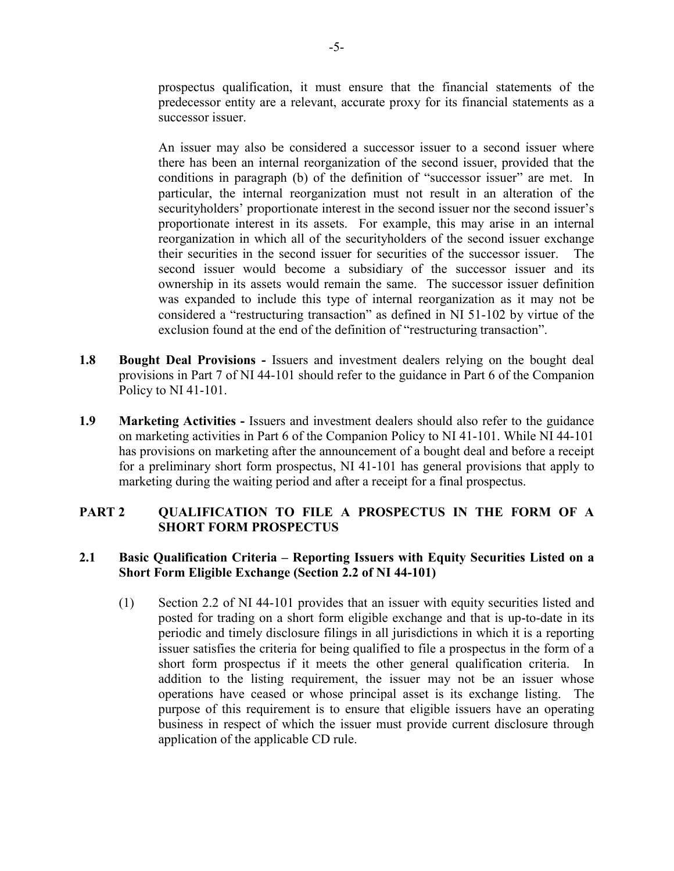prospectus qualification, it must ensure that the financial statements of the predecessor entity are a relevant, accurate proxy for its financial statements as a successor issuer.

An issuer may also be considered a successor issuer to a second issuer where there has been an internal reorganization of the second issuer, provided that the conditions in paragraph (b) of the definition of "successor issuer" are met. In particular, the internal reorganization must not result in an alteration of the securityholders' proportionate interest in the second issuer nor the second issuer's proportionate interest in its assets. For example, this may arise in an internal reorganization in which all of the securityholders of the second issuer exchange their securities in the second issuer for securities of the successor issuer. The second issuer would become a subsidiary of the successor issuer and its ownership in its assets would remain the same. The successor issuer definition was expanded to include this type of internal reorganization as it may not be considered a "restructuring transaction" as defined in NI 51-102 by virtue of the exclusion found at the end of the definition of "restructuring transaction".

- **1.8 Bought Deal Provisions -** Issuers and investment dealers relying on the bought deal provisions in Part 7 of NI 44-101 should refer to the guidance in Part 6 of the Companion Policy to NI 41-101.
- **1.9 Marketing Activities -** Issuers and investment dealers should also refer to the guidance on marketing activities in Part 6 of the Companion Policy to NI 41-101. While NI 44-101 has provisions on marketing after the announcement of a bought deal and before a receipt for a preliminary short form prospectus, NI 41-101 has general provisions that apply to marketing during the waiting period and after a receipt for a final prospectus.

# **PART 2 QUALIFICATION TO FILE A PROSPECTUS IN THE FORM OF A SHORT FORM PROSPECTUS**

# **2.1 Basic Qualification Criteria – Reporting Issuers with Equity Securities Listed on a Short Form Eligible Exchange (Section 2.2 of NI 44-101)**

(1) Section 2.2 of NI 44-101 provides that an issuer with equity securities listed and posted for trading on a short form eligible exchange and that is up-to-date in its periodic and timely disclosure filings in all jurisdictions in which it is a reporting issuer satisfies the criteria for being qualified to file a prospectus in the form of a short form prospectus if it meets the other general qualification criteria. In addition to the listing requirement, the issuer may not be an issuer whose operations have ceased or whose principal asset is its exchange listing. The purpose of this requirement is to ensure that eligible issuers have an operating business in respect of which the issuer must provide current disclosure through application of the applicable CD rule.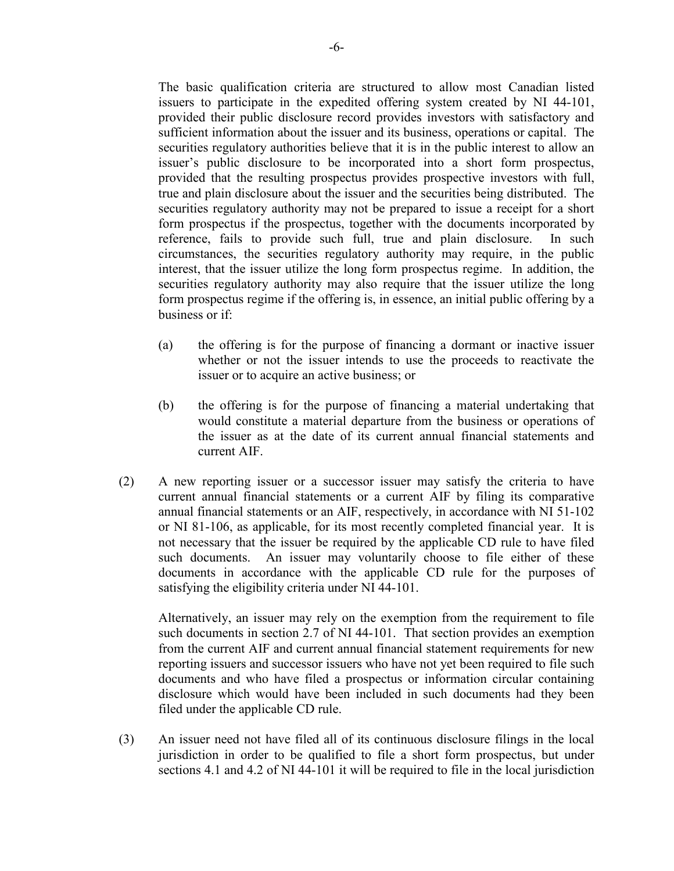The basic qualification criteria are structured to allow most Canadian listed issuers to participate in the expedited offering system created by NI 44-101, provided their public disclosure record provides investors with satisfactory and sufficient information about the issuer and its business, operations or capital. The securities regulatory authorities believe that it is in the public interest to allow an issuer's public disclosure to be incorporated into a short form prospectus, provided that the resulting prospectus provides prospective investors with full, true and plain disclosure about the issuer and the securities being distributed. The securities regulatory authority may not be prepared to issue a receipt for a short form prospectus if the prospectus, together with the documents incorporated by reference, fails to provide such full, true and plain disclosure. In such circumstances, the securities regulatory authority may require, in the public interest, that the issuer utilize the long form prospectus regime. In addition, the securities regulatory authority may also require that the issuer utilize the long form prospectus regime if the offering is, in essence, an initial public offering by a business or if:

- (a) the offering is for the purpose of financing a dormant or inactive issuer whether or not the issuer intends to use the proceeds to reactivate the issuer or to acquire an active business; or
- (b) the offering is for the purpose of financing a material undertaking that would constitute a material departure from the business or operations of the issuer as at the date of its current annual financial statements and current AIF.
- (2) A new reporting issuer or a successor issuer may satisfy the criteria to have current annual financial statements or a current AIF by filing its comparative annual financial statements or an AIF, respectively, in accordance with NI 51-102 or NI 81-106, as applicable, for its most recently completed financial year. It is not necessary that the issuer be required by the applicable CD rule to have filed such documents. An issuer may voluntarily choose to file either of these documents in accordance with the applicable CD rule for the purposes of satisfying the eligibility criteria under NI 44-101.

Alternatively, an issuer may rely on the exemption from the requirement to file such documents in section 2.7 of NI 44-101. That section provides an exemption from the current AIF and current annual financial statement requirements for new reporting issuers and successor issuers who have not yet been required to file such documents and who have filed a prospectus or information circular containing disclosure which would have been included in such documents had they been filed under the applicable CD rule.

(3) An issuer need not have filed all of its continuous disclosure filings in the local jurisdiction in order to be qualified to file a short form prospectus, but under sections 4.1 and 4.2 of NI 44-101 it will be required to file in the local jurisdiction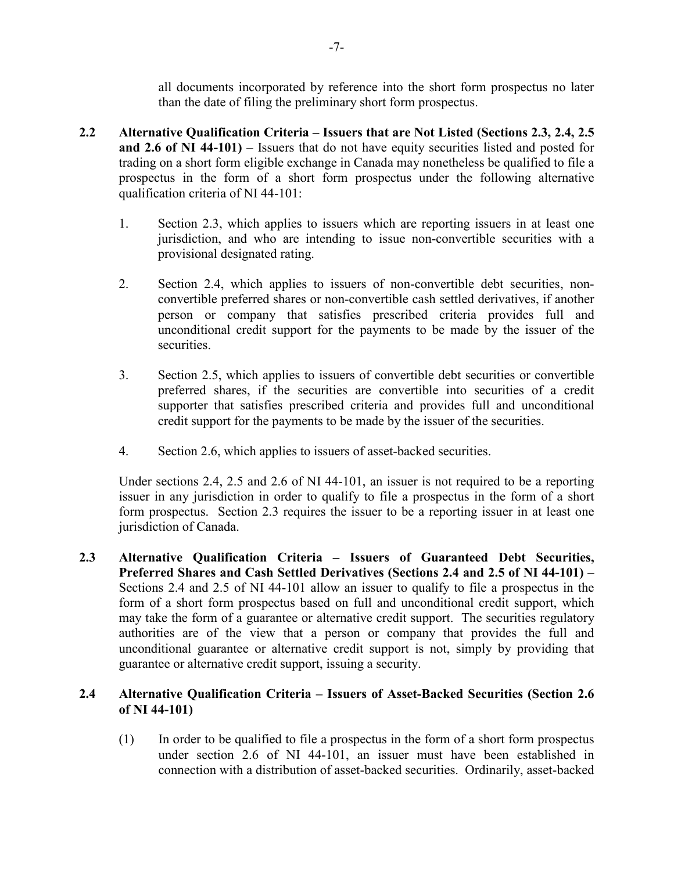all documents incorporated by reference into the short form prospectus no later than the date of filing the preliminary short form prospectus.

- **2.2 Alternative Qualification Criteria – Issuers that are Not Listed (Sections 2.3, 2.4, 2.5 and 2.6 of NI 44-101)** – Issuers that do not have equity securities listed and posted for trading on a short form eligible exchange in Canada may nonetheless be qualified to file a prospectus in the form of a short form prospectus under the following alternative qualification criteria of NI 44-101:
	- 1. Section 2.3, which applies to issuers which are reporting issuers in at least one jurisdiction, and who are intending to issue non-convertible securities with a provisional designated rating.
	- 2. Section 2.4, which applies to issuers of non-convertible debt securities, nonconvertible preferred shares or non-convertible cash settled derivatives, if another person or company that satisfies prescribed criteria provides full and unconditional credit support for the payments to be made by the issuer of the securities.
	- 3. Section 2.5, which applies to issuers of convertible debt securities or convertible preferred shares, if the securities are convertible into securities of a credit supporter that satisfies prescribed criteria and provides full and unconditional credit support for the payments to be made by the issuer of the securities.
	- 4. Section 2.6, which applies to issuers of asset-backed securities.

Under sections 2.4, 2.5 and 2.6 of NI 44-101, an issuer is not required to be a reporting issuer in any jurisdiction in order to qualify to file a prospectus in the form of a short form prospectus. Section 2.3 requires the issuer to be a reporting issuer in at least one jurisdiction of Canada.

**2.3 Alternative Qualification Criteria – Issuers of Guaranteed Debt Securities, Preferred Shares and Cash Settled Derivatives (Sections 2.4 and 2.5 of NI 44-101)** – Sections 2.4 and 2.5 of NI 44-101 allow an issuer to qualify to file a prospectus in the form of a short form prospectus based on full and unconditional credit support, which may take the form of a guarantee or alternative credit support. The securities regulatory authorities are of the view that a person or company that provides the full and unconditional guarantee or alternative credit support is not, simply by providing that guarantee or alternative credit support, issuing a security.

## **2.4 Alternative Qualification Criteria – Issuers of Asset-Backed Securities (Section 2.6 of NI 44-101)**

(1) In order to be qualified to file a prospectus in the form of a short form prospectus under section 2.6 of NI 44-101, an issuer must have been established in connection with a distribution of asset-backed securities. Ordinarily, asset-backed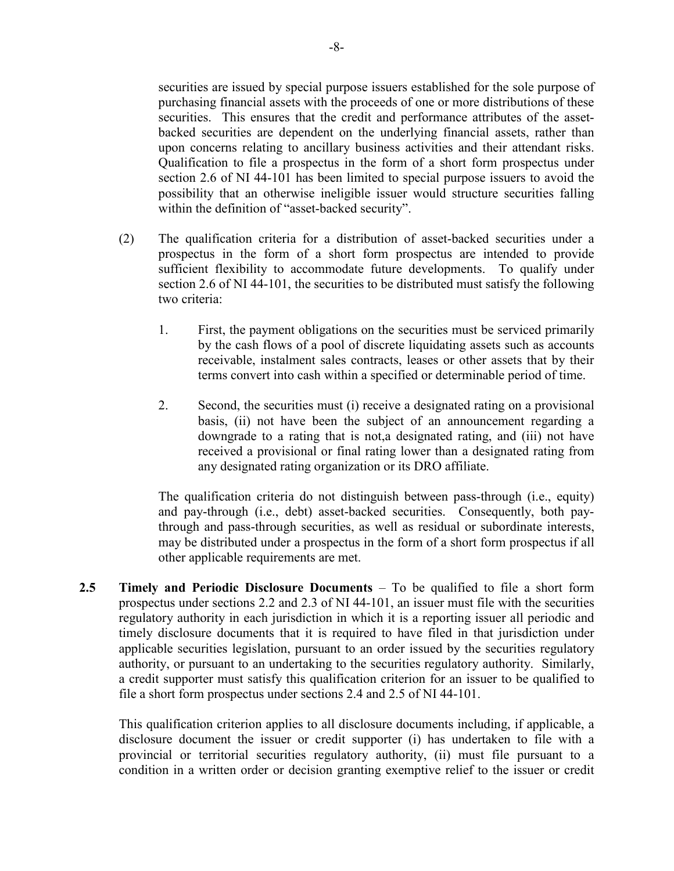securities are issued by special purpose issuers established for the sole purpose of purchasing financial assets with the proceeds of one or more distributions of these securities. This ensures that the credit and performance attributes of the assetbacked securities are dependent on the underlying financial assets, rather than upon concerns relating to ancillary business activities and their attendant risks. Qualification to file a prospectus in the form of a short form prospectus under section 2.6 of NI 44-101 has been limited to special purpose issuers to avoid the possibility that an otherwise ineligible issuer would structure securities falling within the definition of "asset-backed security".

- (2) The qualification criteria for a distribution of asset-backed securities under a prospectus in the form of a short form prospectus are intended to provide sufficient flexibility to accommodate future developments. To qualify under section 2.6 of NI 44-101, the securities to be distributed must satisfy the following two criteria:
	- 1. First, the payment obligations on the securities must be serviced primarily by the cash flows of a pool of discrete liquidating assets such as accounts receivable, instalment sales contracts, leases or other assets that by their terms convert into cash within a specified or determinable period of time.
	- 2. Second, the securities must (i) receive a designated rating on a provisional basis, (ii) not have been the subject of an announcement regarding a downgrade to a rating that is not,a designated rating, and (iii) not have received a provisional or final rating lower than a designated rating from any designated rating organization or its DRO affiliate.

The qualification criteria do not distinguish between pass-through (i.e., equity) and pay-through (i.e., debt) asset-backed securities. Consequently, both paythrough and pass-through securities, as well as residual or subordinate interests, may be distributed under a prospectus in the form of a short form prospectus if all other applicable requirements are met.

**2.5 Timely and Periodic Disclosure Documents** – To be qualified to file a short form prospectus under sections 2.2 and 2.3 of NI 44-101, an issuer must file with the securities regulatory authority in each jurisdiction in which it is a reporting issuer all periodic and timely disclosure documents that it is required to have filed in that jurisdiction under applicable securities legislation, pursuant to an order issued by the securities regulatory authority, or pursuant to an undertaking to the securities regulatory authority. Similarly, a credit supporter must satisfy this qualification criterion for an issuer to be qualified to file a short form prospectus under sections 2.4 and 2.5 of NI 44-101.

This qualification criterion applies to all disclosure documents including, if applicable, a disclosure document the issuer or credit supporter (i) has undertaken to file with a provincial or territorial securities regulatory authority, (ii) must file pursuant to a condition in a written order or decision granting exemptive relief to the issuer or credit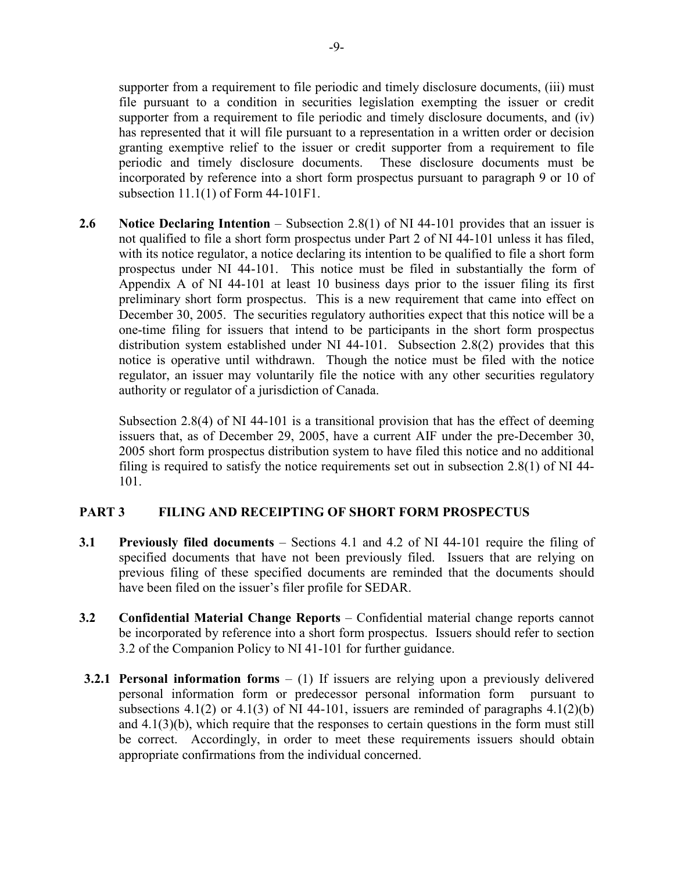supporter from a requirement to file periodic and timely disclosure documents, (iii) must file pursuant to a condition in securities legislation exempting the issuer or credit supporter from a requirement to file periodic and timely disclosure documents, and (iv) has represented that it will file pursuant to a representation in a written order or decision granting exemptive relief to the issuer or credit supporter from a requirement to file periodic and timely disclosure documents. These disclosure documents must be incorporated by reference into a short form prospectus pursuant to paragraph 9 or 10 of subsection 11.1(1) of Form 44-101F1.

**2.6 Notice Declaring Intention** – Subsection 2.8(1) of NI 44-101 provides that an issuer is not qualified to file a short form prospectus under Part 2 of NI 44-101 unless it has filed, with its notice regulator, a notice declaring its intention to be qualified to file a short form prospectus under NI 44-101. This notice must be filed in substantially the form of Appendix A of NI 44-101 at least 10 business days prior to the issuer filing its first preliminary short form prospectus. This is a new requirement that came into effect on December 30, 2005. The securities regulatory authorities expect that this notice will be a one-time filing for issuers that intend to be participants in the short form prospectus distribution system established under NI 44-101. Subsection 2.8(2) provides that this notice is operative until withdrawn. Though the notice must be filed with the notice regulator, an issuer may voluntarily file the notice with any other securities regulatory authority or regulator of a jurisdiction of Canada.

Subsection 2.8(4) of NI 44-101 is a transitional provision that has the effect of deeming issuers that, as of December 29, 2005, have a current AIF under the pre-December 30, 2005 short form prospectus distribution system to have filed this notice and no additional filing is required to satisfy the notice requirements set out in subsection 2.8(1) of NI 44- 101.

# **PART 3 FILING AND RECEIPTING OF SHORT FORM PROSPECTUS**

- **3.1 Previously filed documents**  Sections 4.1 and 4.2 of NI 44-101 require the filing of specified documents that have not been previously filed. Issuers that are relying on previous filing of these specified documents are reminded that the documents should have been filed on the issuer's filer profile for SEDAR.
- **3.2 Confidential Material Change Reports** Confidential material change reports cannot be incorporated by reference into a short form prospectus. Issuers should refer to section 3.2 of the Companion Policy to NI 41-101 for further guidance.
- **3.2.1 Personal information forms**  (1) If issuers are relying upon a previously delivered personal information form or predecessor personal information form pursuant to subsections 4.1(2) or 4.1(3) of NI 44-101, issuers are reminded of paragraphs  $4.1(2)(b)$ and 4.1(3)(b), which require that the responses to certain questions in the form must still be correct. Accordingly, in order to meet these requirements issuers should obtain appropriate confirmations from the individual concerned.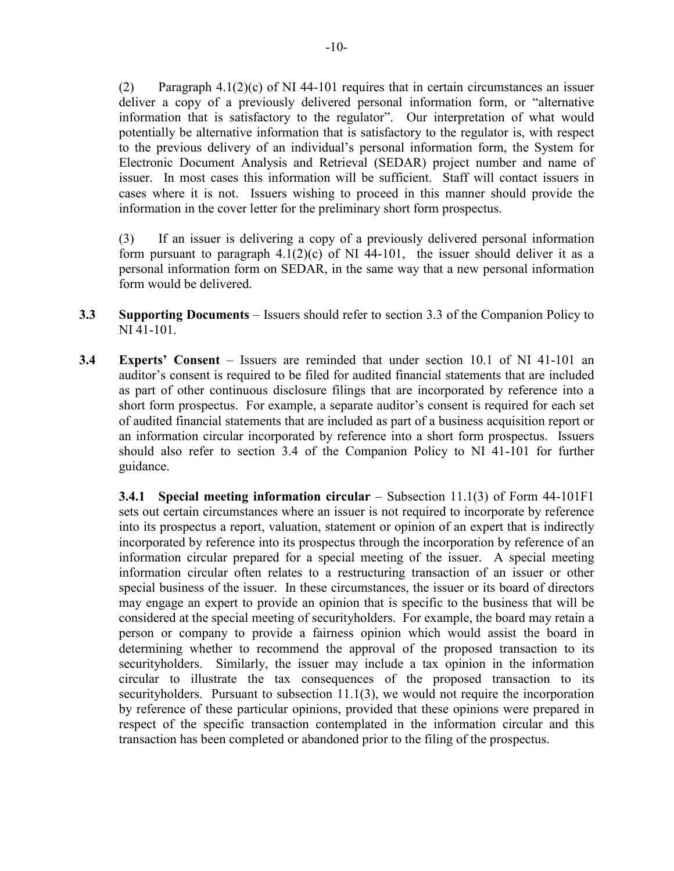(2) Paragraph  $4.1(2)(c)$  of NI 44-101 requires that in certain circumstances an issuer deliver a copy of a previously delivered personal information form, or "alternative information that is satisfactory to the regulator". Our interpretation of what would potentially be alternative information that is satisfactory to the regulator is, with respect to the previous delivery of an individual's personal information form, the System for Electronic Document Analysis and Retrieval (SEDAR) project number and name of issuer. In most cases this information will be sufficient. Staff will contact issuers in cases where it is not. Issuers wishing to proceed in this manner should provide the information in the cover letter for the preliminary short form prospectus.

(3) If an issuer is delivering a copy of a previously delivered personal information form pursuant to paragraph  $4.1(2)(c)$  of NI 44-101, the issuer should deliver it as a personal information form on SEDAR, in the same way that a new personal information form would be delivered.

- **3.3 Supporting Documents** Issuers should refer to section 3.3 of the Companion Policy to NI 41-101.
- **3.4 Experts' Consent** Issuers are reminded that under section 10.1 of NI 41-101 an auditor's consent is required to be filed for audited financial statements that are included as part of other continuous disclosure filings that are incorporated by reference into a short form prospectus. For example, a separate auditor's consent is required for each set of audited financial statements that are included as part of a business acquisition report or an information circular incorporated by reference into a short form prospectus. Issuers should also refer to section 3.4 of the Companion Policy to NI 41-101 for further guidance.

**3.4.1 Special meeting information circular** – Subsection 11.1(3) of Form 44-101F1 sets out certain circumstances where an issuer is not required to incorporate by reference into its prospectus a report, valuation, statement or opinion of an expert that is indirectly incorporated by reference into its prospectus through the incorporation by reference of an information circular prepared for a special meeting of the issuer. A special meeting information circular often relates to a restructuring transaction of an issuer or other special business of the issuer. In these circumstances, the issuer or its board of directors may engage an expert to provide an opinion that is specific to the business that will be considered at the special meeting of securityholders. For example, the board may retain a person or company to provide a fairness opinion which would assist the board in determining whether to recommend the approval of the proposed transaction to its securityholders. Similarly, the issuer may include a tax opinion in the information circular to illustrate the tax consequences of the proposed transaction to its securityholders. Pursuant to subsection 11.1(3), we would not require the incorporation by reference of these particular opinions, provided that these opinions were prepared in respect of the specific transaction contemplated in the information circular and this transaction has been completed or abandoned prior to the filing of the prospectus.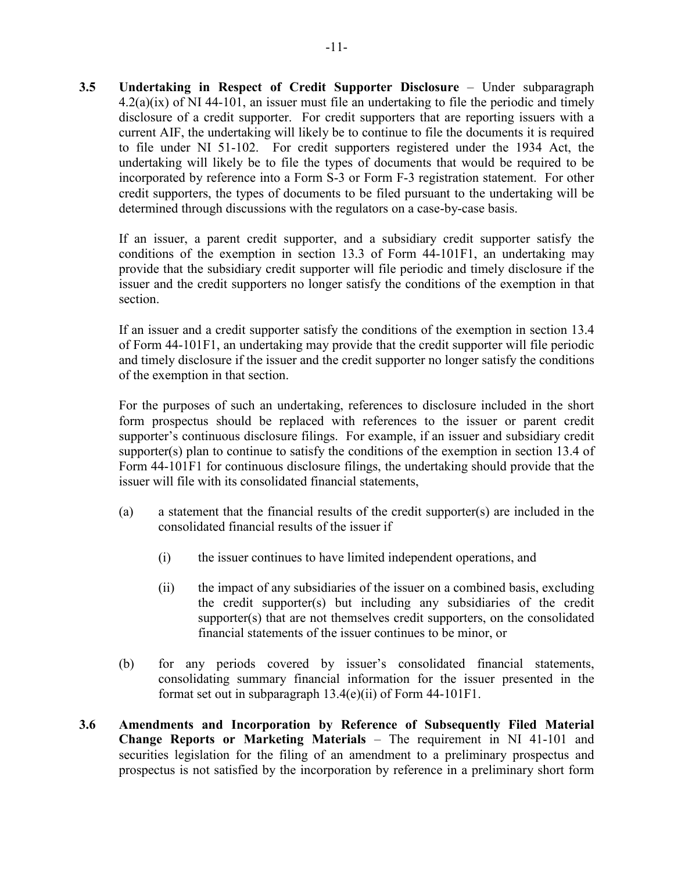**3.5 Undertaking in Respect of Credit Supporter Disclosure** – Under subparagraph  $4.2(a)(ix)$  of NI 44-101, an issuer must file an undertaking to file the periodic and timely disclosure of a credit supporter. For credit supporters that are reporting issuers with a current AIF, the undertaking will likely be to continue to file the documents it is required to file under NI 51-102. For credit supporters registered under the 1934 Act, the undertaking will likely be to file the types of documents that would be required to be incorporated by reference into a Form S-3 or Form F-3 registration statement. For other credit supporters, the types of documents to be filed pursuant to the undertaking will be determined through discussions with the regulators on a case-by-case basis.

If an issuer, a parent credit supporter, and a subsidiary credit supporter satisfy the conditions of the exemption in section 13.3 of Form 44-101F1, an undertaking may provide that the subsidiary credit supporter will file periodic and timely disclosure if the issuer and the credit supporters no longer satisfy the conditions of the exemption in that section.

If an issuer and a credit supporter satisfy the conditions of the exemption in section 13.4 of Form 44-101F1, an undertaking may provide that the credit supporter will file periodic and timely disclosure if the issuer and the credit supporter no longer satisfy the conditions of the exemption in that section.

For the purposes of such an undertaking, references to disclosure included in the short form prospectus should be replaced with references to the issuer or parent credit supporter's continuous disclosure filings. For example, if an issuer and subsidiary credit supporter(s) plan to continue to satisfy the conditions of the exemption in section 13.4 of Form 44-101F1 for continuous disclosure filings, the undertaking should provide that the issuer will file with its consolidated financial statements,

- (a) a statement that the financial results of the credit supporter(s) are included in the consolidated financial results of the issuer if
	- (i) the issuer continues to have limited independent operations, and
	- (ii) the impact of any subsidiaries of the issuer on a combined basis, excluding the credit supporter(s) but including any subsidiaries of the credit supporter(s) that are not themselves credit supporters, on the consolidated financial statements of the issuer continues to be minor, or
- (b) for any periods covered by issuer's consolidated financial statements, consolidating summary financial information for the issuer presented in the format set out in subparagraph 13.4(e)(ii) of Form 44-101F1.
- **3.6 Amendments and Incorporation by Reference of Subsequently Filed Material Change Reports or Marketing Materials** – The requirement in NI 41-101 and securities legislation for the filing of an amendment to a preliminary prospectus and prospectus is not satisfied by the incorporation by reference in a preliminary short form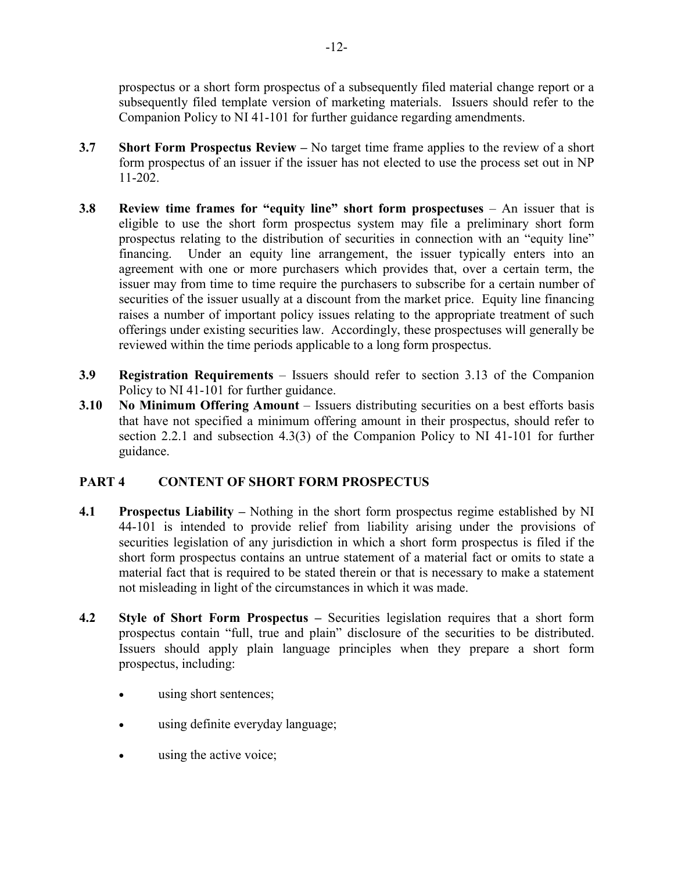prospectus or a short form prospectus of a subsequently filed material change report or a subsequently filed template version of marketing materials. Issuers should refer to the Companion Policy to NI 41-101 for further guidance regarding amendments.

- **3.7 Short Form Prospectus Review –** No target time frame applies to the review of a short form prospectus of an issuer if the issuer has not elected to use the process set out in NP 11-202.
- **3.8 Review time frames for "equity line" short form prospectuses** An issuer that is eligible to use the short form prospectus system may file a preliminary short form prospectus relating to the distribution of securities in connection with an "equity line" financing. Under an equity line arrangement, the issuer typically enters into an agreement with one or more purchasers which provides that, over a certain term, the issuer may from time to time require the purchasers to subscribe for a certain number of securities of the issuer usually at a discount from the market price. Equity line financing raises a number of important policy issues relating to the appropriate treatment of such offerings under existing securities law. Accordingly, these prospectuses will generally be reviewed within the time periods applicable to a long form prospectus.
- **3.9 Registration Requirements** Issuers should refer to section 3.13 of the Companion Policy to NI 41-101 for further guidance.
- **3.10 No Minimum Offering Amount**  Issuers distributing securities on a best efforts basis that have not specified a minimum offering amount in their prospectus, should refer to section 2.2.1 and subsection 4.3(3) of the Companion Policy to NI 41-101 for further guidance.

# **PART 4 CONTENT OF SHORT FORM PROSPECTUS**

- **4.1 Prospectus Liability –** Nothing in the short form prospectus regime established by NI 44-101 is intended to provide relief from liability arising under the provisions of securities legislation of any jurisdiction in which a short form prospectus is filed if the short form prospectus contains an untrue statement of a material fact or omits to state a material fact that is required to be stated therein or that is necessary to make a statement not misleading in light of the circumstances in which it was made.
- **4.2 Style of Short Form Prospectus –** Securities legislation requires that a short form prospectus contain "full, true and plain" disclosure of the securities to be distributed. Issuers should apply plain language principles when they prepare a short form prospectus, including:
	- using short sentences;
	- using definite everyday language;
	- using the active voice;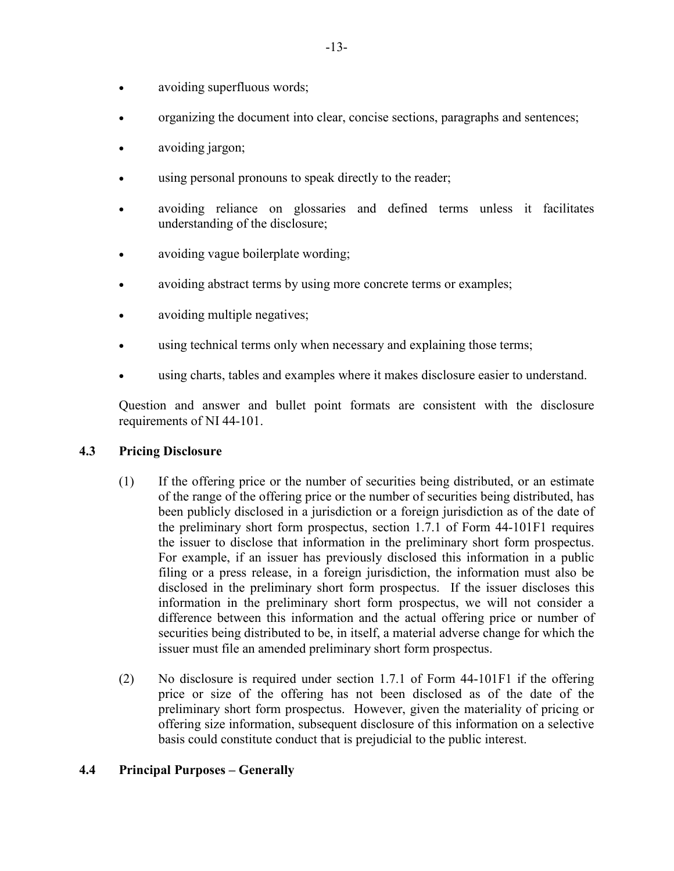- avoiding superfluous words;
- organizing the document into clear, concise sections, paragraphs and sentences;
- avoiding jargon;
- using personal pronouns to speak directly to the reader;
- avoiding reliance on glossaries and defined terms unless it facilitates understanding of the disclosure;
- avoiding vague boilerplate wording;
- avoiding abstract terms by using more concrete terms or examples;
- avoiding multiple negatives;
- using technical terms only when necessary and explaining those terms;
- using charts, tables and examples where it makes disclosure easier to understand.

Question and answer and bullet point formats are consistent with the disclosure requirements of NI 44-101.

### **4.3 Pricing Disclosure**

- (1) If the offering price or the number of securities being distributed, or an estimate of the range of the offering price or the number of securities being distributed, has been publicly disclosed in a jurisdiction or a foreign jurisdiction as of the date of the preliminary short form prospectus, section 1.7.1 of Form 44-101F1 requires the issuer to disclose that information in the preliminary short form prospectus. For example, if an issuer has previously disclosed this information in a public filing or a press release, in a foreign jurisdiction, the information must also be disclosed in the preliminary short form prospectus. If the issuer discloses this information in the preliminary short form prospectus, we will not consider a difference between this information and the actual offering price or number of securities being distributed to be, in itself, a material adverse change for which the issuer must file an amended preliminary short form prospectus.
- (2) No disclosure is required under section 1.7.1 of Form 44-101F1 if the offering price or size of the offering has not been disclosed as of the date of the preliminary short form prospectus. However, given the materiality of pricing or offering size information, subsequent disclosure of this information on a selective basis could constitute conduct that is prejudicial to the public interest.

### **4.4 Principal Purposes – Generally**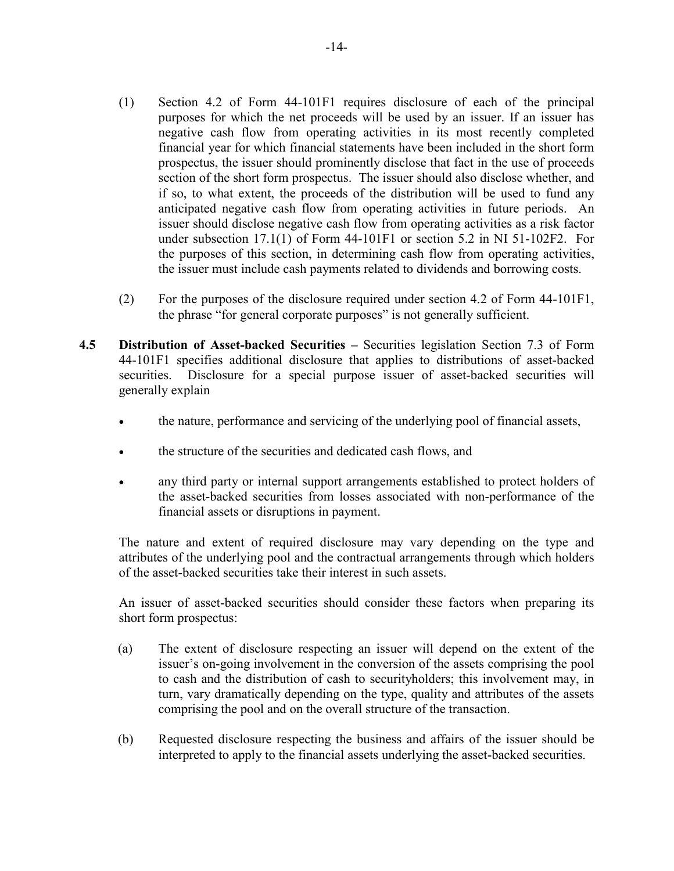- (1) Section 4.2 of Form 44-101F1 requires disclosure of each of the principal purposes for which the net proceeds will be used by an issuer. If an issuer has negative cash flow from operating activities in its most recently completed financial year for which financial statements have been included in the short form prospectus, the issuer should prominently disclose that fact in the use of proceeds section of the short form prospectus. The issuer should also disclose whether, and if so, to what extent, the proceeds of the distribution will be used to fund any anticipated negative cash flow from operating activities in future periods. An issuer should disclose negative cash flow from operating activities as a risk factor under subsection 17.1(1) of Form 44-101F1 or section 5.2 in NI 51-102F2. For the purposes of this section, in determining cash flow from operating activities, the issuer must include cash payments related to dividends and borrowing costs.
- (2) For the purposes of the disclosure required under section 4.2 of Form 44-101F1, the phrase "for general corporate purposes" is not generally sufficient.
- **4.5 Distribution of Asset-backed Securities –** Securities legislation Section 7.3 of Form 44-101F1 specifies additional disclosure that applies to distributions of asset-backed securities. Disclosure for a special purpose issuer of asset-backed securities will generally explain
	- the nature, performance and servicing of the underlying pool of financial assets,
	- the structure of the securities and dedicated cash flows, and
	- any third party or internal support arrangements established to protect holders of the asset-backed securities from losses associated with non-performance of the financial assets or disruptions in payment.

The nature and extent of required disclosure may vary depending on the type and attributes of the underlying pool and the contractual arrangements through which holders of the asset-backed securities take their interest in such assets.

An issuer of asset-backed securities should consider these factors when preparing its short form prospectus:

- (a) The extent of disclosure respecting an issuer will depend on the extent of the issuer's on-going involvement in the conversion of the assets comprising the pool to cash and the distribution of cash to securityholders; this involvement may, in turn, vary dramatically depending on the type, quality and attributes of the assets comprising the pool and on the overall structure of the transaction.
- (b) Requested disclosure respecting the business and affairs of the issuer should be interpreted to apply to the financial assets underlying the asset-backed securities.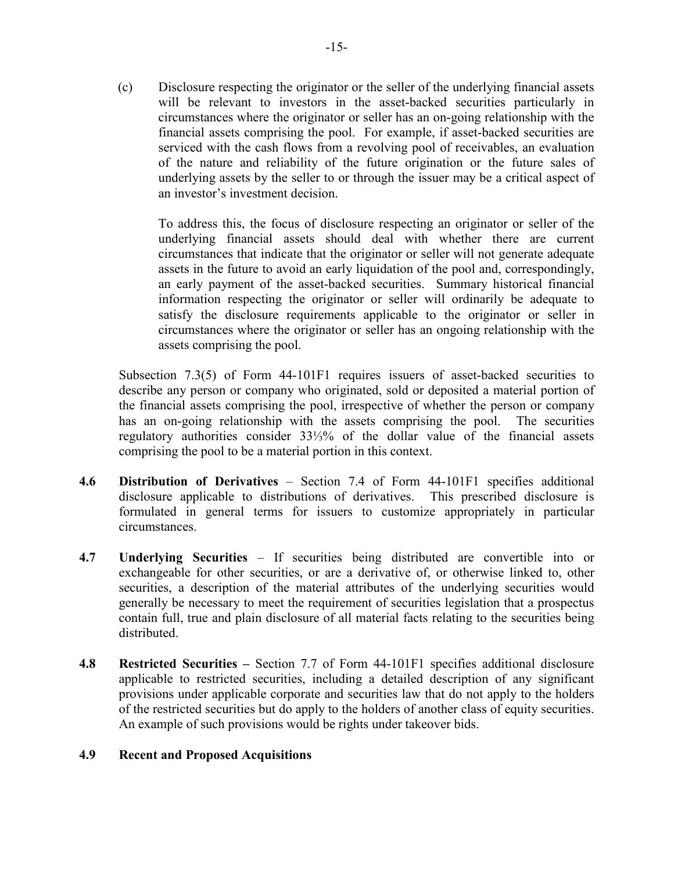(c) Disclosure respecting the originator or the seller of the underlying financial assets will be relevant to investors in the asset-backed securities particularly in circumstances where the originator or seller has an on-going relationship with the financial assets comprising the pool. For example, if asset-backed securities are serviced with the cash flows from a revolving pool of receivables, an evaluation of the nature and reliability of the future origination or the future sales of underlying assets by the seller to or through the issuer may be a critical aspect of an investor's investment decision.

To address this, the focus of disclosure respecting an originator or seller of the underlying financial assets should deal with whether there are current circumstances that indicate that the originator or seller will not generate adequate assets in the future to avoid an early liquidation of the pool and, correspondingly, an early payment of the asset-backed securities. Summary historical financial information respecting the originator or seller will ordinarily be adequate to satisfy the disclosure requirements applicable to the originator or seller in circumstances where the originator or seller has an ongoing relationship with the assets comprising the pool.

Subsection 7.3(5) of Form 44-101F1 requires issuers of asset-backed securities to describe any person or company who originated, sold or deposited a material portion of the financial assets comprising the pool, irrespective of whether the person or company has an on-going relationship with the assets comprising the pool. The securities regulatory authorities consider 33⅓% of the dollar value of the financial assets comprising the pool to be a material portion in this context.

- **4.6 Distribution of Derivatives** Section 7.4 of Form 44-101F1 specifies additional disclosure applicable to distributions of derivatives. This prescribed disclosure is formulated in general terms for issuers to customize appropriately in particular circumstances.
- **4.7 Underlying Securities** If securities being distributed are convertible into or exchangeable for other securities, or are a derivative of, or otherwise linked to, other securities, a description of the material attributes of the underlying securities would generally be necessary to meet the requirement of securities legislation that a prospectus contain full, true and plain disclosure of all material facts relating to the securities being distributed.
- **4.8 Restricted Securities –** Section 7.7 of Form 44-101F1 specifies additional disclosure applicable to restricted securities, including a detailed description of any significant provisions under applicable corporate and securities law that do not apply to the holders of the restricted securities but do apply to the holders of another class of equity securities. An example of such provisions would be rights under takeover bids.

# **4.9 Recent and Proposed Acquisitions**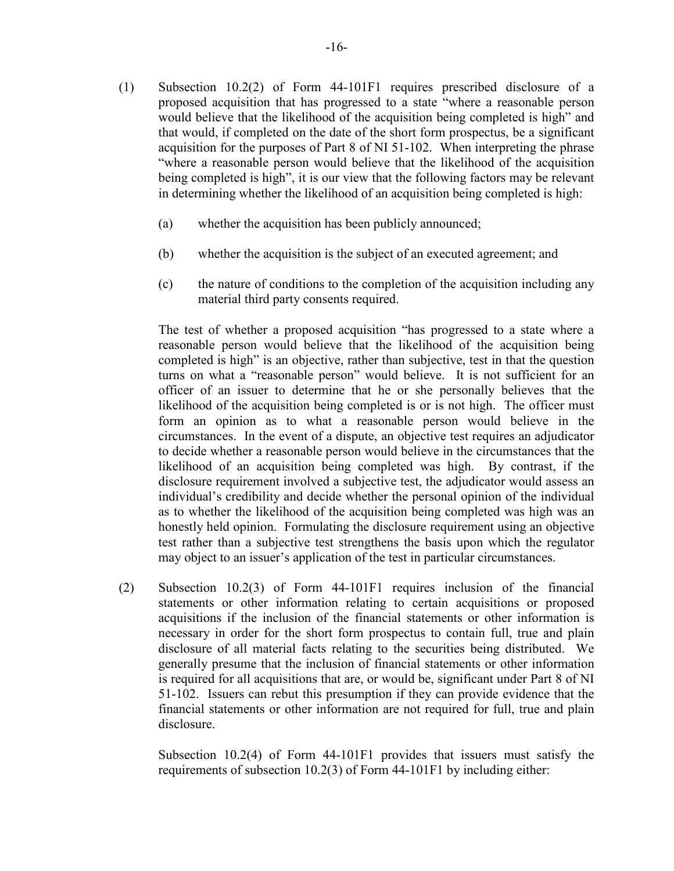- (1) Subsection 10.2(2) of Form 44-101F1 requires prescribed disclosure of a proposed acquisition that has progressed to a state "where a reasonable person would believe that the likelihood of the acquisition being completed is high" and that would, if completed on the date of the short form prospectus, be a significant acquisition for the purposes of Part 8 of NI 51-102. When interpreting the phrase "where a reasonable person would believe that the likelihood of the acquisition being completed is high", it is our view that the following factors may be relevant in determining whether the likelihood of an acquisition being completed is high:
	- (a) whether the acquisition has been publicly announced;
	- (b) whether the acquisition is the subject of an executed agreement; and
	- (c) the nature of conditions to the completion of the acquisition including any material third party consents required.

The test of whether a proposed acquisition "has progressed to a state where a reasonable person would believe that the likelihood of the acquisition being completed is high" is an objective, rather than subjective, test in that the question turns on what a "reasonable person" would believe. It is not sufficient for an officer of an issuer to determine that he or she personally believes that the likelihood of the acquisition being completed is or is not high. The officer must form an opinion as to what a reasonable person would believe in the circumstances. In the event of a dispute, an objective test requires an adjudicator to decide whether a reasonable person would believe in the circumstances that the likelihood of an acquisition being completed was high. By contrast, if the disclosure requirement involved a subjective test, the adjudicator would assess an individual's credibility and decide whether the personal opinion of the individual as to whether the likelihood of the acquisition being completed was high was an honestly held opinion. Formulating the disclosure requirement using an objective test rather than a subjective test strengthens the basis upon which the regulator may object to an issuer's application of the test in particular circumstances.

(2) Subsection 10.2(3) of Form 44-101F1 requires inclusion of the financial statements or other information relating to certain acquisitions or proposed acquisitions if the inclusion of the financial statements or other information is necessary in order for the short form prospectus to contain full, true and plain disclosure of all material facts relating to the securities being distributed. We generally presume that the inclusion of financial statements or other information is required for all acquisitions that are, or would be, significant under Part 8 of NI 51-102. Issuers can rebut this presumption if they can provide evidence that the financial statements or other information are not required for full, true and plain disclosure.

Subsection 10.2(4) of Form 44-101F1 provides that issuers must satisfy the requirements of subsection 10.2(3) of Form 44-101F1 by including either: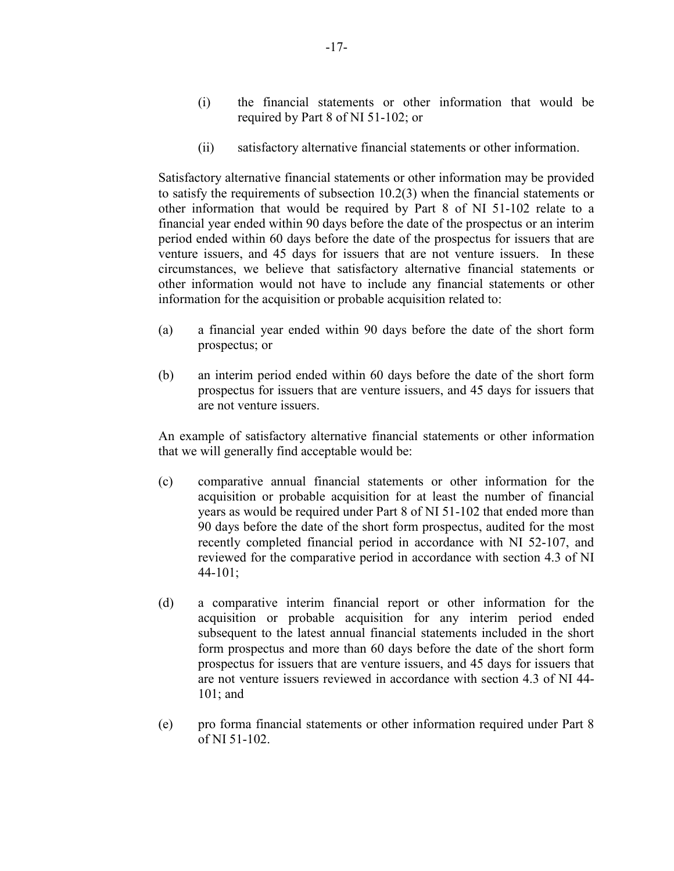- (i) the financial statements or other information that would be required by Part 8 of NI 51-102; or
- (ii) satisfactory alternative financial statements or other information.

Satisfactory alternative financial statements or other information may be provided to satisfy the requirements of subsection 10.2(3) when the financial statements or other information that would be required by Part 8 of NI 51-102 relate to a financial year ended within 90 days before the date of the prospectus or an interim period ended within 60 days before the date of the prospectus for issuers that are venture issuers, and 45 days for issuers that are not venture issuers. In these circumstances, we believe that satisfactory alternative financial statements or other information would not have to include any financial statements or other information for the acquisition or probable acquisition related to:

- (a) a financial year ended within 90 days before the date of the short form prospectus; or
- (b) an interim period ended within 60 days before the date of the short form prospectus for issuers that are venture issuers, and 45 days for issuers that are not venture issuers.

An example of satisfactory alternative financial statements or other information that we will generally find acceptable would be:

- (c) comparative annual financial statements or other information for the acquisition or probable acquisition for at least the number of financial years as would be required under Part 8 of NI 51-102 that ended more than 90 days before the date of the short form prospectus, audited for the most recently completed financial period in accordance with NI 52-107, and reviewed for the comparative period in accordance with section 4.3 of NI 44-101;
- (d) a comparative interim financial report or other information for the acquisition or probable acquisition for any interim period ended subsequent to the latest annual financial statements included in the short form prospectus and more than 60 days before the date of the short form prospectus for issuers that are venture issuers, and 45 days for issuers that are not venture issuers reviewed in accordance with section 4.3 of NI 44- 101; and
- (e) pro forma financial statements or other information required under Part 8 of NI 51-102.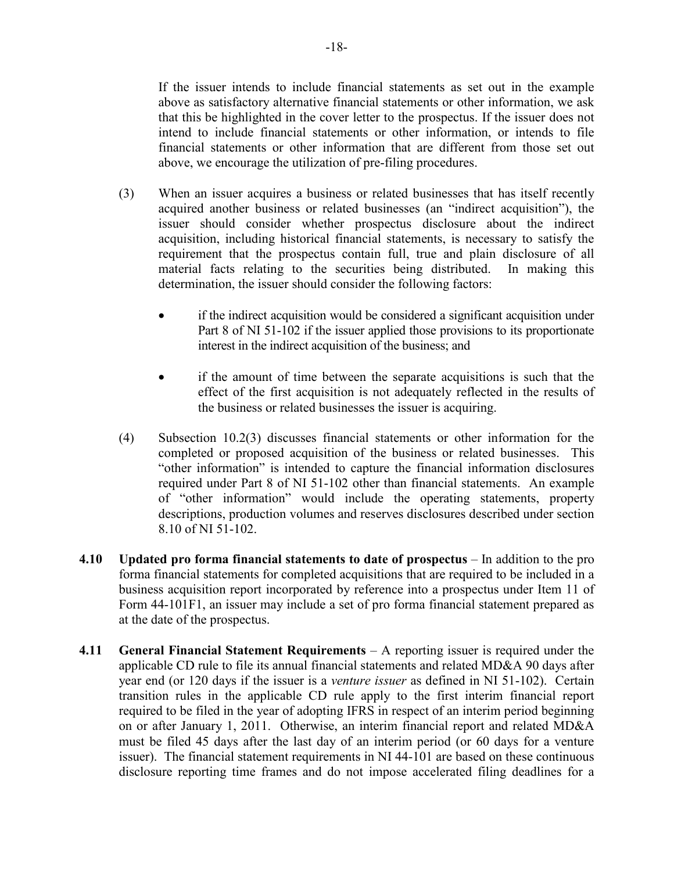If the issuer intends to include financial statements as set out in the example above as satisfactory alternative financial statements or other information, we ask that this be highlighted in the cover letter to the prospectus. If the issuer does not intend to include financial statements or other information, or intends to file financial statements or other information that are different from those set out above, we encourage the utilization of pre-filing procedures.

- (3) When an issuer acquires a business or related businesses that has itself recently acquired another business or related businesses (an "indirect acquisition"), the issuer should consider whether prospectus disclosure about the indirect acquisition, including historical financial statements, is necessary to satisfy the requirement that the prospectus contain full, true and plain disclosure of all material facts relating to the securities being distributed. In making this determination, the issuer should consider the following factors:
	- if the indirect acquisition would be considered a significant acquisition under Part 8 of NI 51-102 if the issuer applied those provisions to its proportionate interest in the indirect acquisition of the business; and
	- if the amount of time between the separate acquisitions is such that the effect of the first acquisition is not adequately reflected in the results of the business or related businesses the issuer is acquiring.
- (4) Subsection 10.2(3) discusses financial statements or other information for the completed or proposed acquisition of the business or related businesses. This "other information" is intended to capture the financial information disclosures required under Part 8 of NI 51-102 other than financial statements. An example of "other information" would include the operating statements, property descriptions, production volumes and reserves disclosures described under section 8.10 of NI 51-102.
- **4.10 Updated pro forma financial statements to date of prospectus**  In addition to the pro forma financial statements for completed acquisitions that are required to be included in a business acquisition report incorporated by reference into a prospectus under Item 11 of Form 44-101F1, an issuer may include a set of pro forma financial statement prepared as at the date of the prospectus.
- **4.11 General Financial Statement Requirements** A reporting issuer is required under the applicable CD rule to file its annual financial statements and related MD&A 90 days after year end (or 120 days if the issuer is a *venture issuer* as defined in NI 51-102). Certain transition rules in the applicable CD rule apply to the first interim financial report required to be filed in the year of adopting IFRS in respect of an interim period beginning on or after January 1, 2011. Otherwise, an interim financial report and related MD&A must be filed 45 days after the last day of an interim period (or 60 days for a venture issuer). The financial statement requirements in NI 44-101 are based on these continuous disclosure reporting time frames and do not impose accelerated filing deadlines for a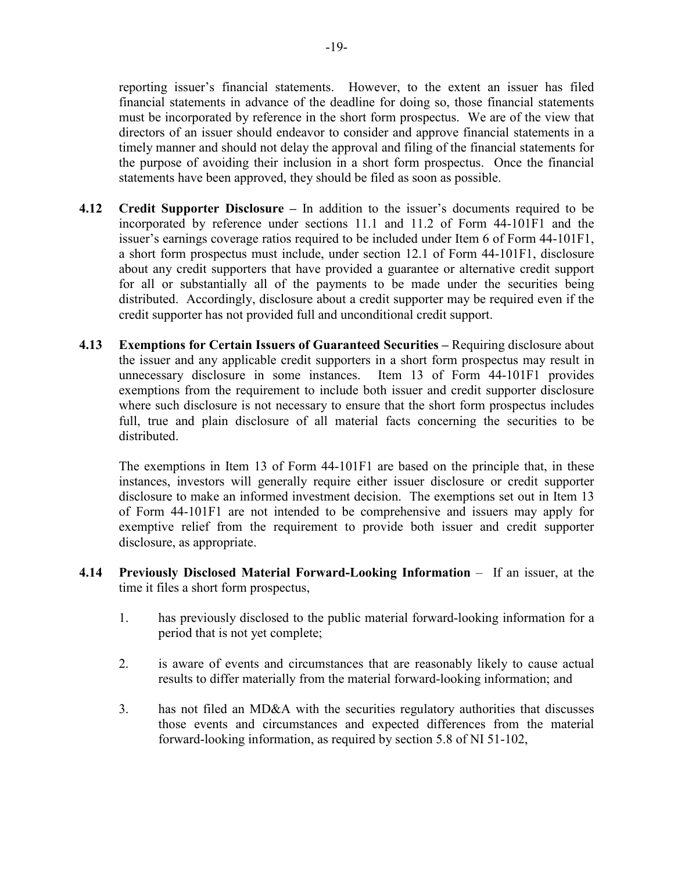reporting issuer's financial statements. However, to the extent an issuer has filed financial statements in advance of the deadline for doing so, those financial statements must be incorporated by reference in the short form prospectus. We are of the view that directors of an issuer should endeavor to consider and approve financial statements in a timely manner and should not delay the approval and filing of the financial statements for the purpose of avoiding their inclusion in a short form prospectus. Once the financial statements have been approved, they should be filed as soon as possible.

- **4.12 Credit Supporter Disclosure –** In addition to the issuer's documents required to be incorporated by reference under sections 11.1 and 11.2 of Form 44-101F1 and the issuer's earnings coverage ratios required to be included under Item 6 of Form 44-101F1, a short form prospectus must include, under section 12.1 of Form 44-101F1, disclosure about any credit supporters that have provided a guarantee or alternative credit support for all or substantially all of the payments to be made under the securities being distributed. Accordingly, disclosure about a credit supporter may be required even if the credit supporter has not provided full and unconditional credit support.
- **4.13 Exemptions for Certain Issuers of Guaranteed Securities –** Requiring disclosure about the issuer and any applicable credit supporters in a short form prospectus may result in unnecessary disclosure in some instances. Item 13 of Form 44-101F1 provides exemptions from the requirement to include both issuer and credit supporter disclosure where such disclosure is not necessary to ensure that the short form prospectus includes full, true and plain disclosure of all material facts concerning the securities to be distributed.

The exemptions in Item 13 of Form 44-101F1 are based on the principle that, in these instances, investors will generally require either issuer disclosure or credit supporter disclosure to make an informed investment decision. The exemptions set out in Item 13 of Form 44-101F1 are not intended to be comprehensive and issuers may apply for exemptive relief from the requirement to provide both issuer and credit supporter disclosure, as appropriate.

- **4.14 Previously Disclosed Material Forward-Looking Information** If an issuer, at the time it files a short form prospectus,
	- 1. has previously disclosed to the public material forward-looking information for a period that is not yet complete;
	- 2. is aware of events and circumstances that are reasonably likely to cause actual results to differ materially from the material forward-looking information; and
	- 3. has not filed an MD&A with the securities regulatory authorities that discusses those events and circumstances and expected differences from the material forward-looking information, as required by section 5.8 of NI 51-102,